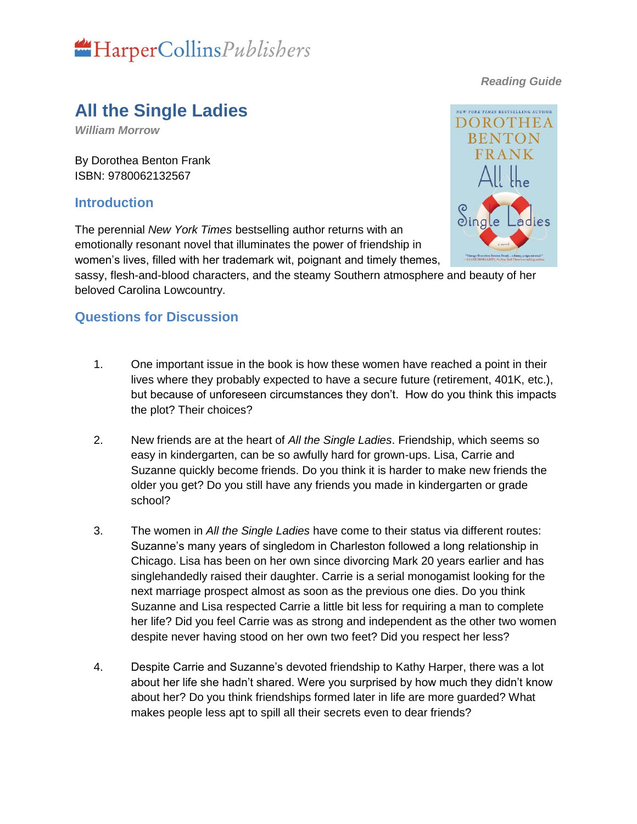

#### *Reading Guide*

## **All the Single Ladies**

*William Morrow*

By Dorothea Benton Frank ISBN: 9780062132567

#### **Introduction**

The perennial *New York Times* bestselling author returns with an emotionally resonant novel that illuminates the power of friendship in women's lives, filled with her trademark wit, poignant and timely themes,



sassy, flesh-and-blood characters, and the steamy Southern atmosphere and beauty of her beloved Carolina Lowcountry.

### **Questions for Discussion**

- 1. One important issue in the book is how these women have reached a point in their lives where they probably expected to have a secure future (retirement, 401K, etc.), but because of unforeseen circumstances they don't. How do you think this impacts the plot? Their choices?
- 2. New friends are at the heart of *All the Single Ladies*. Friendship, which seems so easy in kindergarten, can be so awfully hard for grown-ups. Lisa, Carrie and Suzanne quickly become friends. Do you think it is harder to make new friends the older you get? Do you still have any friends you made in kindergarten or grade school?
- 3. The women in *All the Single Ladies* have come to their status via different routes: Suzanne's many years of singledom in Charleston followed a long relationship in Chicago. Lisa has been on her own since divorcing Mark 20 years earlier and has singlehandedly raised their daughter. Carrie is a serial monogamist looking for the next marriage prospect almost as soon as the previous one dies. Do you think Suzanne and Lisa respected Carrie a little bit less for requiring a man to complete her life? Did you feel Carrie was as strong and independent as the other two women despite never having stood on her own two feet? Did you respect her less?
- 4. Despite Carrie and Suzanne's devoted friendship to Kathy Harper, there was a lot about her life she hadn't shared. Were you surprised by how much they didn't know about her? Do you think friendships formed later in life are more guarded? What makes people less apt to spill all their secrets even to dear friends?